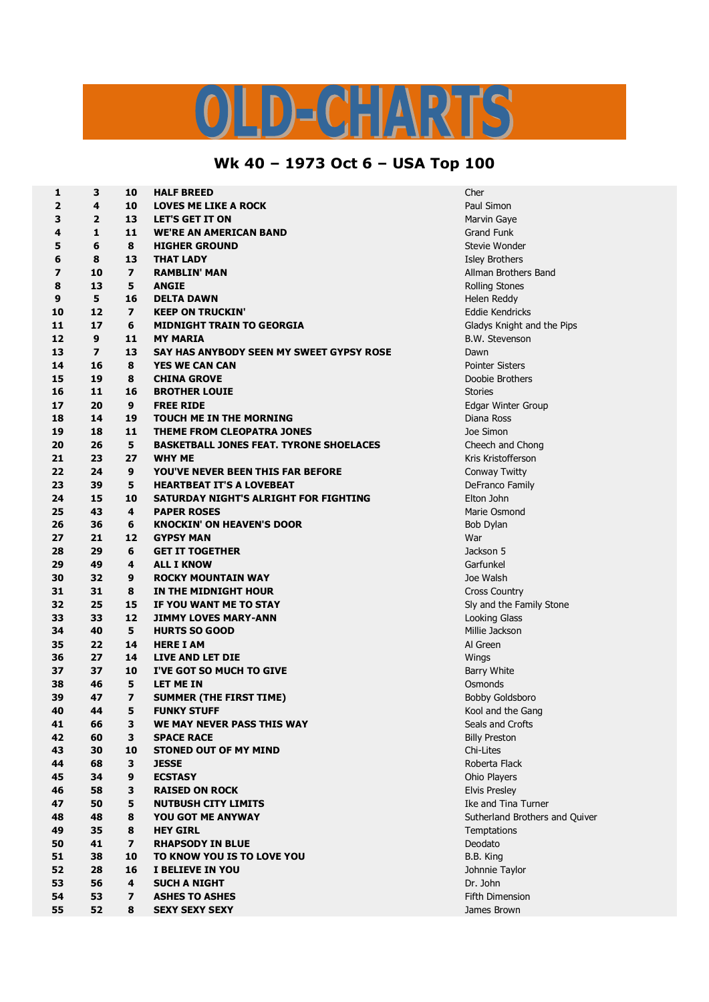## S  $D = C \cdot \frac{1}{2} \sqrt{N}$

## **Wk 40 – 1973 Oct 6 – USA Top 100**

| 1                       | 3                       | 10                       | <b>HALF BREED</b>                              | Cher                   |
|-------------------------|-------------------------|--------------------------|------------------------------------------------|------------------------|
| $\overline{\mathbf{2}}$ | 4                       | 10                       | <b>LOVES ME LIKE A ROCK</b>                    | Paul Simon             |
| 3                       | $\overline{2}$          | 13                       | <b>LET'S GET IT ON</b>                         | Marvin Gaye            |
| 4                       | $\mathbf{1}$            | 11                       | <b>WE'RE AN AMERICAN BAND</b>                  | <b>Grand Funk</b>      |
| 5                       | 6                       | 8                        | <b>HIGHER GROUND</b>                           | Stevie Wonder          |
| 6                       | 8                       | 13                       | <b>THAT LADY</b>                               | <b>Isley Brothers</b>  |
| 7                       | 10                      | $\overline{ }$           | <b>RAMBLIN' MAN</b>                            | Allman Brothers Ba     |
| 8                       | 13                      | 5                        | <b>ANGIE</b>                                   | <b>Rolling Stones</b>  |
| 9                       | 5                       | 16                       | <b>DELTA DAWN</b>                              | Helen Reddy            |
| 10                      | 12                      | $\overline{\phantom{a}}$ | <b>KEEP ON TRUCKIN'</b>                        | <b>Eddie Kendricks</b> |
| 11                      | 17                      | 6                        | <b>MIDNIGHT TRAIN TO GEORGIA</b>               | Gladys Knight and      |
| 12                      | 9                       | 11                       | <b>MY MARIA</b>                                | B.W. Stevenson         |
| 13                      | $\overline{\mathbf{z}}$ | 13                       | SAY HAS ANYBODY SEEN MY SWEET GYPSY ROSE       | Dawn                   |
| 14                      | 16                      | 8                        | <b>YES WE CAN CAN</b>                          | <b>Pointer Sisters</b> |
| 15                      | 19                      | 8                        | <b>CHINA GROVE</b>                             | Doobie Brothers        |
| 16                      | 11                      | 16                       | <b>BROTHER LOUIE</b>                           | <b>Stories</b>         |
| 17                      | 20                      | 9                        | <b>FREE RIDE</b>                               | Edgar Winter Grou      |
| 18                      | 14                      | 19                       | <b>TOUCH ME IN THE MORNING</b>                 | Diana Ross             |
| 19                      | 18                      | 11                       | THEME FROM CLEOPATRA JONES                     | Joe Simon              |
| 20                      | 26                      | 5                        | <b>BASKETBALL JONES FEAT. TYRONE SHOELACES</b> | Cheech and Chong       |
| 21                      | 23                      | 27                       | <b>WHY ME</b>                                  | Kris Kristofferson     |
| 22                      | 24                      | 9                        | YOU'VE NEVER BEEN THIS FAR BEFORE              | Conway Twitty          |
| 23                      | 39                      | 5                        | <b>HEARTBEAT IT'S A LOVEBEAT</b>               | DeFranco Family        |
| 24                      | 15                      | 10                       | SATURDAY NIGHT'S ALRIGHT FOR FIGHTING          | Elton John             |
| 25                      | 43                      | 4                        | <b>PAPER ROSES</b>                             | Marie Osmond           |
| 26                      | 36                      | 6                        | <b>KNOCKIN' ON HEAVEN'S DOOR</b>               | Bob Dylan              |
| 27                      | 21                      | 12                       | <b>GYPSY MAN</b>                               | War                    |
| 28                      | 29                      | 6                        | <b>GET IT TOGETHER</b>                         | Jackson 5              |
| 29                      | 49                      | 4                        | <b>ALL I KNOW</b>                              | Garfunkel              |
| 30                      | 32                      | 9                        | <b>ROCKY MOUNTAIN WAY</b>                      | Joe Walsh              |
| 31                      | 31                      | 8                        | IN THE MIDNIGHT HOUR                           | <b>Cross Country</b>   |
| 32                      | 25                      | 15                       | IF YOU WANT ME TO STAY                         | Sly and the Family     |
| 33                      | 33                      | 12                       | <b>JIMMY LOVES MARY-ANN</b>                    | Looking Glass          |
| 34                      | 40                      | 5                        | <b>HURTS SO GOOD</b>                           | Millie Jackson         |
| 35                      | 22                      | 14                       | <b>HERE I AM</b>                               | Al Green               |
| 36                      | 27                      | 14                       | <b>LIVE AND LET DIE</b>                        | Wings                  |
| 37                      | 37                      | 10                       | I'VE GOT SO MUCH TO GIVE                       | <b>Barry White</b>     |
| 38                      | 46                      | 5                        | <b>LET ME IN</b>                               | Osmonds                |
| 39                      | 47                      | 7                        | <b>SUMMER (THE FIRST TIME)</b>                 | <b>Bobby Goldsboro</b> |
| 40                      | 44                      | 5                        | <b>FUNKY STUFF</b>                             | Kool and the Gang      |
| 41                      | 66                      | 3                        | WE MAY NEVER PASS THIS WAY                     | Seals and Crofts       |
| 42                      | 60                      | 3                        | <b>SPACE RACE</b>                              | <b>Billy Preston</b>   |
| 43                      | 30                      | 10                       | <b>STONED OUT OF MY MIND</b>                   | Chi-Lites              |
| 44                      | 68                      | 3                        | <b>JESSE</b>                                   | Roberta Flack          |
| 45                      | 34                      | 9                        | <b>ECSTASY</b>                                 | Ohio Players           |
| 46                      | 58                      | 3                        | <b>RAISED ON ROCK</b>                          | <b>Elvis Presley</b>   |
| 47                      | 50                      | 5                        | <b>NUTBUSH CITY LIMITS</b>                     | Ike and Tina Turne     |
|                         |                         |                          |                                                |                        |
| 48                      | 48                      | 8                        | <b>YOU GOT ME ANYWAY</b><br><b>HEY GIRL</b>    | Sutherland Brother     |
| 49                      | 35                      | 8                        |                                                | Temptations            |
| 50                      | 41                      | $\overline{ }$           | <b>RHAPSODY IN BLUE</b>                        | Deodato                |
| 51                      | 38                      | 10                       | TO KNOW YOU IS TO LOVE YOU                     | B.B. King              |
| 52                      | 28                      | 16                       | <b>I BELIEVE IN YOU</b>                        | Johnnie Taylor         |
| 53                      | 56                      | 4                        | <b>SUCH A NIGHT</b>                            | Dr. John               |
| 54                      | 53                      | $\overline{\mathbf{z}}$  | <b>ASHES TO ASHES</b>                          | <b>Fifth Dimension</b> |
| 55                      | 52                      | 8                        | <b>SEXY SEXY SEXY</b>                          | James Brown            |

**Brothers Band Knight and the Pips 20 9 FREE RIDE** Edgar Winter Group **the Family Stone**  Tina Turner **48 8 YOU GOT ME ANYWAY** Sutherland Brothers and Quiver